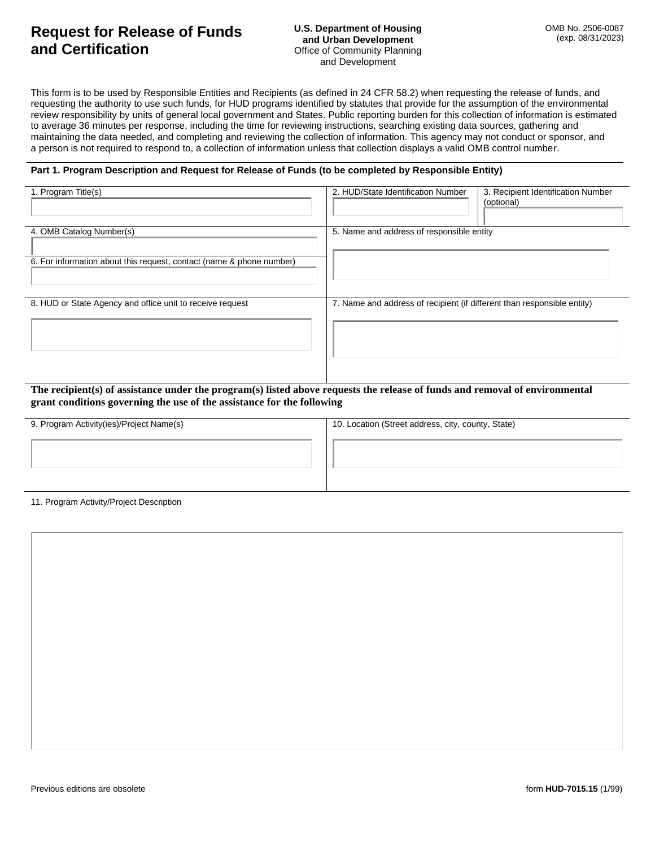# **Request for Release of Funds and Certification**

This form is to be used by Responsible Entities and Recipients (as defined in 24 CFR 58.2) when requesting the release of funds, and requesting the authority to use such funds, for HUD programs identified by statutes that provide for the assumption of the environmental review responsibility by units of general local government and States. Public reporting burden for this collection of information is estimated to average 36 minutes per response, including the time for reviewing instructions, searching existing data sources, gathering and maintaining the data needed, and completing and reviewing the collection of information. This agency may not conduct or sponsor, and a person is not required to respond to, a collection of information unless that collection displays a valid OMB control number.

#### **Part 1. Program Description and Request for Release of Funds (to be completed by Responsible Entity)**

| 1. Program Title(s)                                                  | 2. HUD/State Identification Number<br>3. Recipient Identification Number<br>(optional) |
|----------------------------------------------------------------------|----------------------------------------------------------------------------------------|
| 4. OMB Catalog Number(s)                                             | 5. Name and address of responsible entity                                              |
| 6. For information about this request, contact (name & phone number) |                                                                                        |
| 8. HUD or State Agency and office unit to receive request            | 7. Name and address of recipient (if different than responsible entity)                |

**The recipient(s) of assistance under the program(s) listed above requests the release of funds and removal of environmental grant conditions governing the use of the assistance for the following**

| 9. Program Activity(ies)/Project Name(s) | 10. Location (Street address, city, county, State) |
|------------------------------------------|----------------------------------------------------|
|                                          |                                                    |
|                                          |                                                    |
|                                          |                                                    |
|                                          |                                                    |
|                                          |                                                    |

11. Program Activity/Project Description